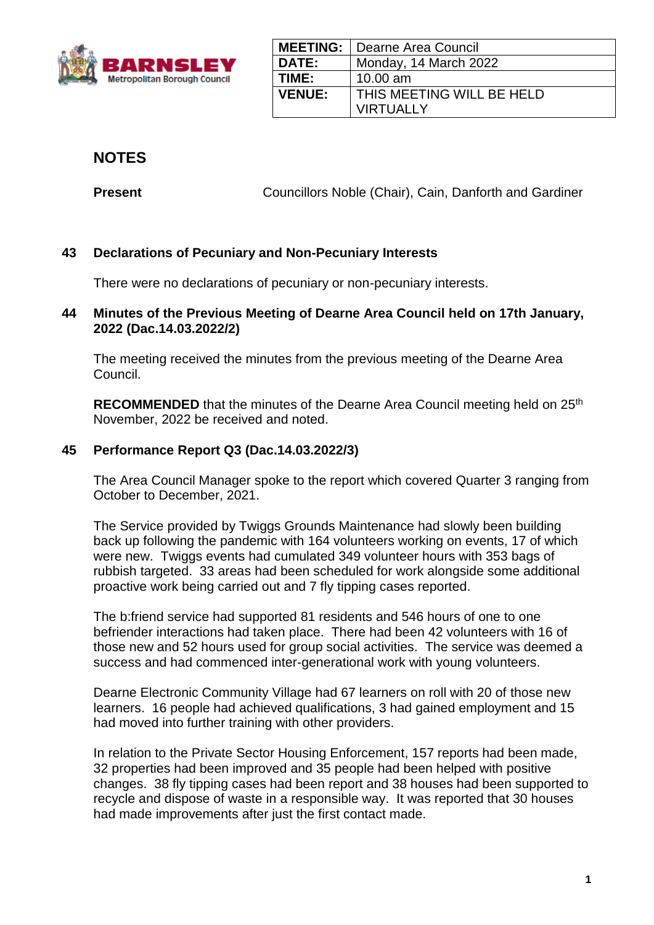

|               | <b>MEETING:</b>   Dearne Area Council |
|---------------|---------------------------------------|
| <b>DATE:</b>  | Monday, 14 March 2022                 |
| TIME:         | $10.00$ am                            |
| <b>VENUE:</b> | <b>THIS MEETING WILL BE HELD</b>      |
|               | <b>VIRTUALLY</b>                      |

**NOTES**

**Present Councillors Noble (Chair), Cain, Danforth and Gardiner** 

# **43 Declarations of Pecuniary and Non-Pecuniary Interests**

There were no declarations of pecuniary or non-pecuniary interests.

## **44 Minutes of the Previous Meeting of Dearne Area Council held on 17th January, 2022 (Dac.14.03.2022/2)**

The meeting received the minutes from the previous meeting of the Dearne Area Council.

**RECOMMENDED** that the minutes of the Dearne Area Council meeting held on 25<sup>th</sup> November, 2022 be received and noted.

# **45 Performance Report Q3 (Dac.14.03.2022/3)**

The Area Council Manager spoke to the report which covered Quarter 3 ranging from October to December, 2021.

The Service provided by Twiggs Grounds Maintenance had slowly been building back up following the pandemic with 164 volunteers working on events, 17 of which were new. Twiggs events had cumulated 349 volunteer hours with 353 bags of rubbish targeted. 33 areas had been scheduled for work alongside some additional proactive work being carried out and 7 fly tipping cases reported.

The b:friend service had supported 81 residents and 546 hours of one to one befriender interactions had taken place. There had been 42 volunteers with 16 of those new and 52 hours used for group social activities. The service was deemed a success and had commenced inter-generational work with young volunteers.

Dearne Electronic Community Village had 67 learners on roll with 20 of those new learners. 16 people had achieved qualifications, 3 had gained employment and 15 had moved into further training with other providers.

In relation to the Private Sector Housing Enforcement, 157 reports had been made, 32 properties had been improved and 35 people had been helped with positive changes. 38 fly tipping cases had been report and 38 houses had been supported to recycle and dispose of waste in a responsible way. It was reported that 30 houses had made improvements after just the first contact made.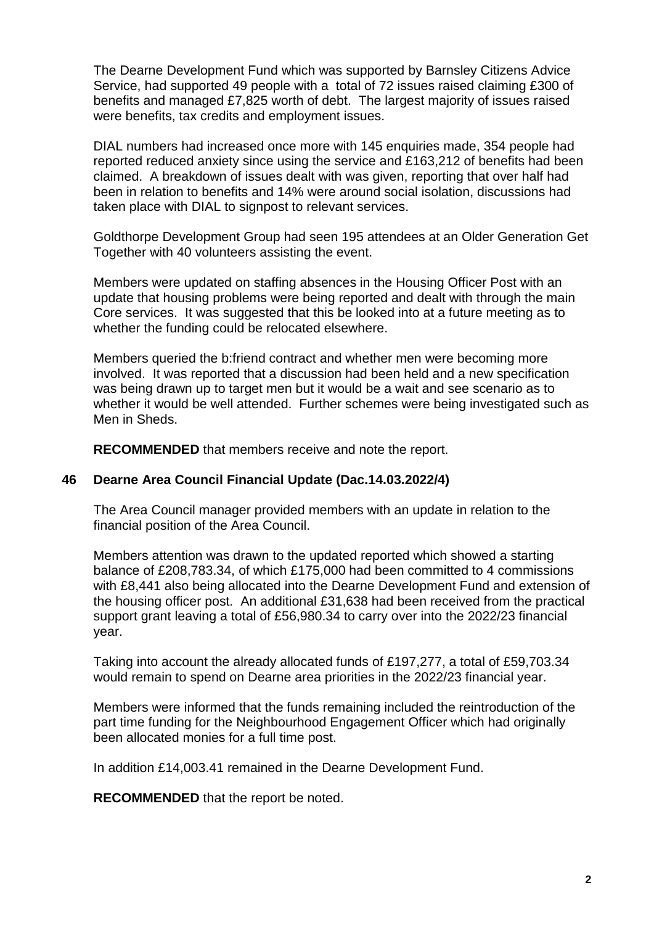The Dearne Development Fund which was supported by Barnsley Citizens Advice Service, had supported 49 people with a total of 72 issues raised claiming £300 of benefits and managed £7,825 worth of debt. The largest majority of issues raised were benefits, tax credits and employment issues.

DIAL numbers had increased once more with 145 enquiries made, 354 people had reported reduced anxiety since using the service and £163,212 of benefits had been claimed. A breakdown of issues dealt with was given, reporting that over half had been in relation to benefits and 14% were around social isolation, discussions had taken place with DIAL to signpost to relevant services.

Goldthorpe Development Group had seen 195 attendees at an Older Generation Get Together with 40 volunteers assisting the event.

Members were updated on staffing absences in the Housing Officer Post with an update that housing problems were being reported and dealt with through the main Core services. It was suggested that this be looked into at a future meeting as to whether the funding could be relocated elsewhere.

Members queried the b:friend contract and whether men were becoming more involved. It was reported that a discussion had been held and a new specification was being drawn up to target men but it would be a wait and see scenario as to whether it would be well attended. Further schemes were being investigated such as Men in Sheds.

**RECOMMENDED** that members receive and note the report.

### **46 Dearne Area Council Financial Update (Dac.14.03.2022/4)**

The Area Council manager provided members with an update in relation to the financial position of the Area Council.

Members attention was drawn to the updated reported which showed a starting balance of £208,783.34, of which £175,000 had been committed to 4 commissions with £8,441 also being allocated into the Dearne Development Fund and extension of the housing officer post. An additional £31,638 had been received from the practical support grant leaving a total of £56,980.34 to carry over into the 2022/23 financial year.

Taking into account the already allocated funds of £197,277, a total of £59,703.34 would remain to spend on Dearne area priorities in the 2022/23 financial year.

Members were informed that the funds remaining included the reintroduction of the part time funding for the Neighbourhood Engagement Officer which had originally been allocated monies for a full time post.

In addition £14,003.41 remained in the Dearne Development Fund.

**RECOMMENDED** that the report be noted.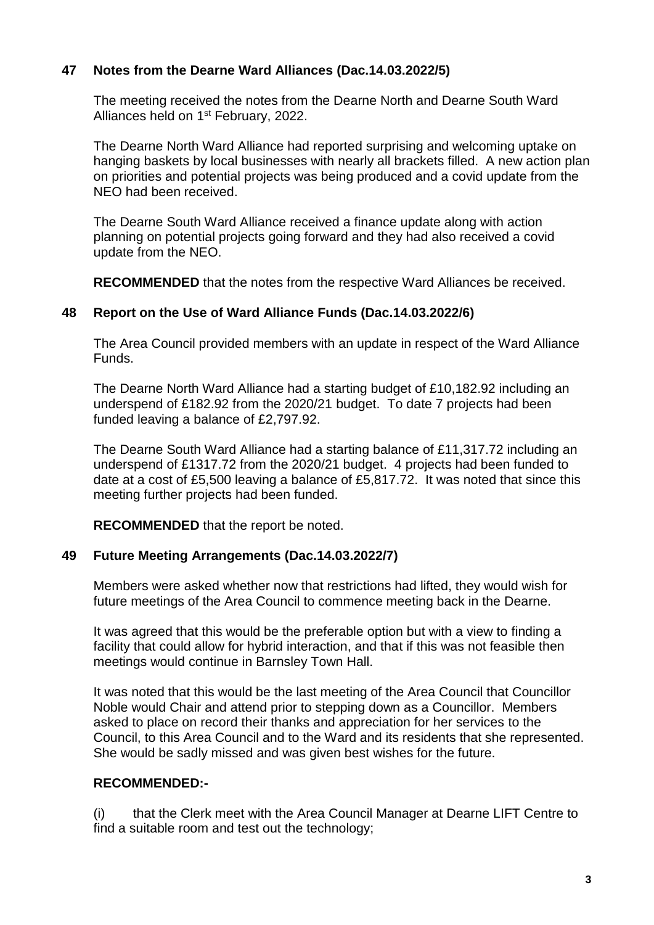## **47 Notes from the Dearne Ward Alliances (Dac.14.03.2022/5)**

The meeting received the notes from the Dearne North and Dearne South Ward Alliances held on 1st February, 2022.

The Dearne North Ward Alliance had reported surprising and welcoming uptake on hanging baskets by local businesses with nearly all brackets filled. A new action plan on priorities and potential projects was being produced and a covid update from the NEO had been received.

The Dearne South Ward Alliance received a finance update along with action planning on potential projects going forward and they had also received a covid update from the NEO.

**RECOMMENDED** that the notes from the respective Ward Alliances be received.

## **48 Report on the Use of Ward Alliance Funds (Dac.14.03.2022/6)**

The Area Council provided members with an update in respect of the Ward Alliance Funds.

The Dearne North Ward Alliance had a starting budget of £10,182.92 including an underspend of £182.92 from the 2020/21 budget. To date 7 projects had been funded leaving a balance of £2,797.92.

The Dearne South Ward Alliance had a starting balance of £11,317.72 including an underspend of £1317.72 from the 2020/21 budget. 4 projects had been funded to date at a cost of £5,500 leaving a balance of £5,817.72. It was noted that since this meeting further projects had been funded.

**RECOMMENDED** that the report be noted.

### **49 Future Meeting Arrangements (Dac.14.03.2022/7)**

Members were asked whether now that restrictions had lifted, they would wish for future meetings of the Area Council to commence meeting back in the Dearne.

It was agreed that this would be the preferable option but with a view to finding a facility that could allow for hybrid interaction, and that if this was not feasible then meetings would continue in Barnsley Town Hall.

It was noted that this would be the last meeting of the Area Council that Councillor Noble would Chair and attend prior to stepping down as a Councillor. Members asked to place on record their thanks and appreciation for her services to the Council, to this Area Council and to the Ward and its residents that she represented. She would be sadly missed and was given best wishes for the future.

### **RECOMMENDED:-**

(i) that the Clerk meet with the Area Council Manager at Dearne LIFT Centre to find a suitable room and test out the technology;